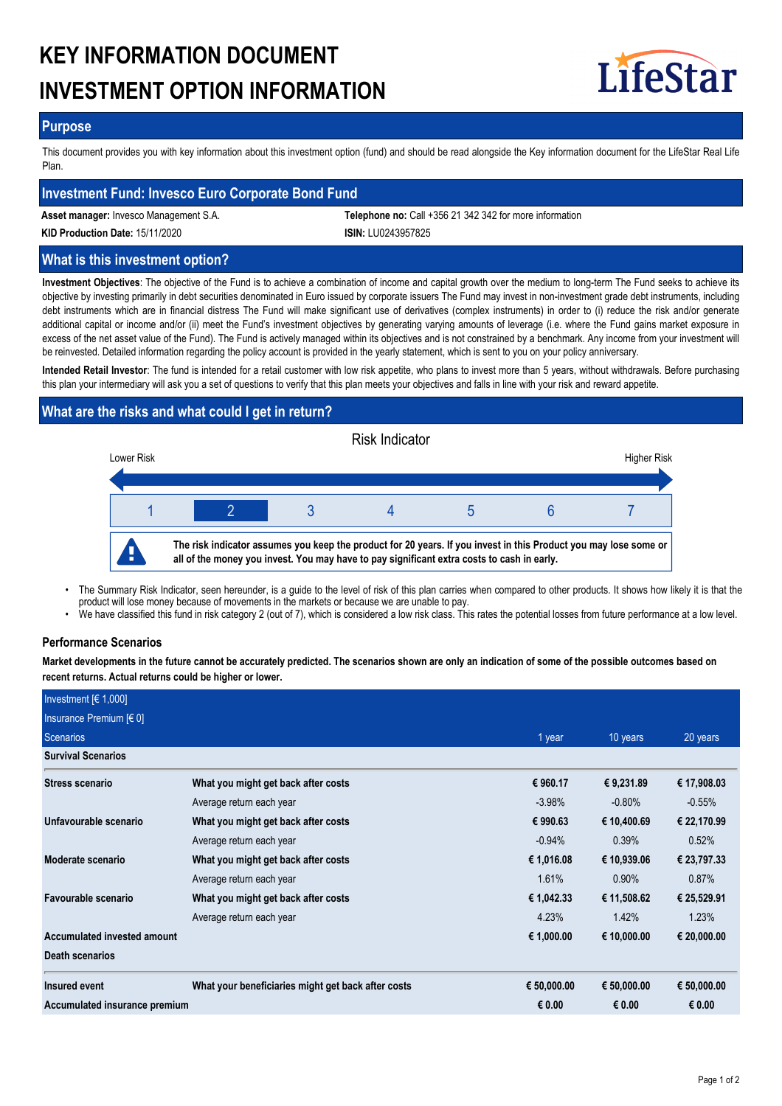# **KEY INFORMATION DOCUMENT INVESTMENT OPTION INFORMATION**



## **Purpose**

This document provides you with key information about this investment option (fund) and should be read alongside the Key information document for the LifeStar Real Life Plan.

# **Investment Fund: Invesco Euro Corporate Bond Fund**

**Asset manager:** Invesco Management S.A. **Telephone no:** Call +356 21 342 342 for more information

**KID Production Date:** 15/11/2020 **ISIN:** LU0243957825

# **What is this investment option?**

**Investment Objectives**: The objective of the Fund is to achieve a combination of income and capital growth over the medium to long-term The Fund seeks to achieve its objective by investing primarily in debt securities denominated in Euro issued by corporate issuers The Fund may invest in non-investment grade debt instruments, including debt instruments which are in financial distress The Fund will make significant use of derivatives (complex instruments) in order to (i) reduce the risk and/or generate additional capital or income and/or (ii) meet the Fund's investment objectives by generating varying amounts of leverage (i.e. where the Fund gains market exposure in excess of the net asset value of the Fund). The Fund is actively managed within its objectives and is not constrained by a benchmark. Any income from your investment will be reinvested. Detailed information regarding the policy account is provided in the yearly statement, which is sent to you on your policy anniversary.

**Intended Retail Investor**: The fund is intended for a retail customer with low risk appetite, who plans to invest more than 5 years, without withdrawals. Before purchasing this plan your intermediary will ask you a set of questions to verify that this plan meets your objectives and falls in line with your risk and reward appetite.

# **What are the risks and what could I get in return?**



- The Summary Risk Indicator, seen hereunder, is a guide to the level of risk of this plan carries when compared to other products. It shows how likely it is that the product will lose money because of movements in the markets or because we are unable to pay. •
- We have classified this fund in risk category 2 (out of 7), which is considered a low risk class. This rates the potential losses from future performance at a low level.

#### **Performance Scenarios**

**Market developments in the future cannot be accurately predicted. The scenarios shown are only an indication of some of the possible outcomes based on recent returns. Actual returns could be higher or lower.**

| Investment $[6 1,000]$        |                                                    |             |             |             |
|-------------------------------|----------------------------------------------------|-------------|-------------|-------------|
| Insurance Premium $[6 0]$     |                                                    |             |             |             |
| Scenarios                     |                                                    | 1 year      | 10 years    | 20 years    |
| <b>Survival Scenarios</b>     |                                                    |             |             |             |
| Stress scenario               | What you might get back after costs                | € 960.17    | € 9,231.89  | € 17,908.03 |
|                               | Average return each year                           | $-3.98%$    | $-0.80\%$   | $-0.55%$    |
| Unfavourable scenario         | What you might get back after costs                | € 990.63    | € 10,400.69 | € 22,170.99 |
|                               | Average return each year                           | $-0.94%$    | 0.39%       | 0.52%       |
| Moderate scenario             | What you might get back after costs                | € 1,016.08  | € 10,939.06 | € 23,797.33 |
|                               | Average return each year                           | 1.61%       | 0.90%       | 0.87%       |
| Favourable scenario           | What you might get back after costs                | € 1,042.33  | € 11,508.62 | € 25,529.91 |
|                               | Average return each year                           | 4.23%       | 1.42%       | 1.23%       |
| Accumulated invested amount   |                                                    | € 1,000.00  | € 10,000.00 | € 20,000.00 |
| Death scenarios               |                                                    |             |             |             |
| Insured event                 | What your beneficiaries might get back after costs | € 50,000.00 | € 50,000.00 | € 50,000.00 |
| Accumulated insurance premium |                                                    | € 0.00      | € 0.00      | € 0.00      |